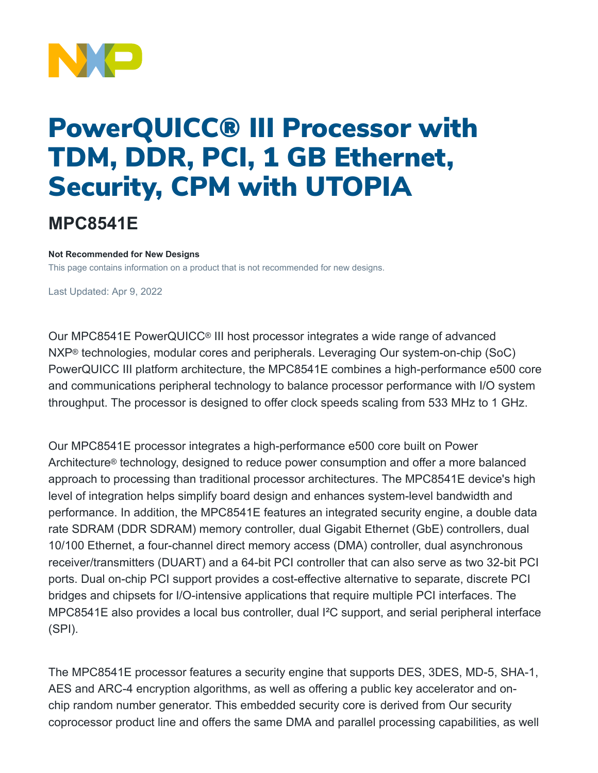

# PowerQUICC® III Processor with TDM, DDR, PCI, 1 GB Ethernet, Security, CPM with UTOPIA

## **MPC8541E**

#### **Not Recommended for New Designs**

This page contains information on a product that is not recommended for new designs.

Last Updated: Apr 9, 2022

Our MPC8541E PowerQUICC® III host processor integrates a wide range of advanced NXP® technologies, modular cores and peripherals. Leveraging Our system-on-chip (SoC) PowerQUICC III platform architecture, the MPC8541E combines a high-performance e500 core and communications peripheral technology to balance processor performance with I/O system throughput. The processor is designed to offer clock speeds scaling from 533 MHz to 1 GHz.

Our MPC8541E processor integrates a high-performance e500 core built on Power Architecture® technology, designed to reduce power consumption and offer a more balanced approach to processing than traditional processor architectures. The MPC8541E device's high level of integration helps simplify board design and enhances system-level bandwidth and performance. In addition, the MPC8541E features an integrated security engine, a double data rate SDRAM (DDR SDRAM) memory controller, dual Gigabit Ethernet (GbE) controllers, dual 10/100 Ethernet, a four-channel direct memory access (DMA) controller, dual asynchronous receiver/transmitters (DUART) and a 64-bit PCI controller that can also serve as two 32-bit PCI ports. Dual on-chip PCI support provides a cost-effective alternative to separate, discrete PCI bridges and chipsets for I/O-intensive applications that require multiple PCI interfaces. The MPC8541E also provides a local bus controller, dual I²C support, and serial peripheral interface (SPI).

The MPC8541E processor features a security engine that supports DES, 3DES, MD-5, SHA-1, AES and ARC-4 encryption algorithms, as well as offering a public key accelerator and onchip random number generator. This embedded security core is derived from Our security coprocessor product line and offers the same DMA and parallel processing capabilities, as well